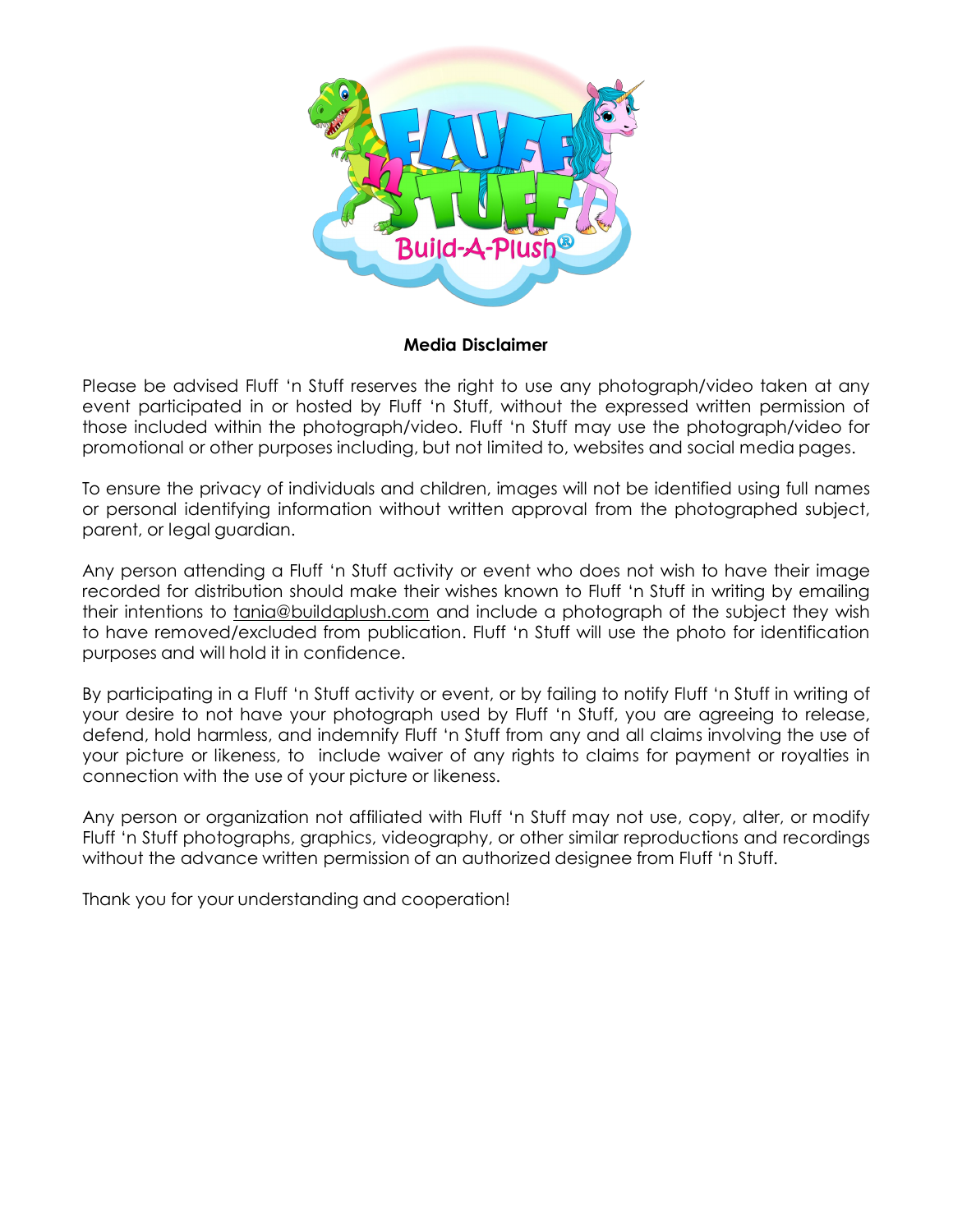

**Media Disclaimer**

Please be advised Fluff 'n Stuff reserves the right to use any photograph/video taken at any event participated in or hosted by Fluff 'n Stuff, without the expressed written permission of those included within the photograph/video. Fluff 'n Stuff may use the photograph/video for promotional or other purposes including, but not limited to, websites and social media pages.

To ensure the privacy of individuals and children, images will not be identified using full names or personal identifying information without written approval from the photographed subject, parent, or legal guardian.

Any person attending a Fluff 'n Stuff activity or event who does not wish to have their image recorded for distribution should make their wishes known to Fluff 'n Stuff in writing by emailing their intentions to [tania@buildaplush.com](mailto:tania@buildaplush.com) and include a photograph of the subject they wish to have removed/excluded from publication. Fluff 'n Stuff will use the photo for identification purposes and will hold it in confidence.

By participating in a Fluff 'n Stuff activity or event, or by failing to notify Fluff 'n Stuff in writing of your desire to not have your photograph used by Fluff 'n Stuff, you are agreeing to release, defend, hold harmless, and indemnify Fluff 'n Stuff from any and all claims involving the use of your picture or likeness, to include waiver of any rights to claims for payment or royalties in connection with the use of your picture or likeness.

Any person or organization not affiliated with Fluff 'n Stuff may not use, copy, alter, or modify Fluff 'n Stuff photographs, graphics, videography, or other similar reproductions and recordings without the advance written permission of an authorized designee from Fluff 'n Stuff.

Thank you for your understanding and cooperation!